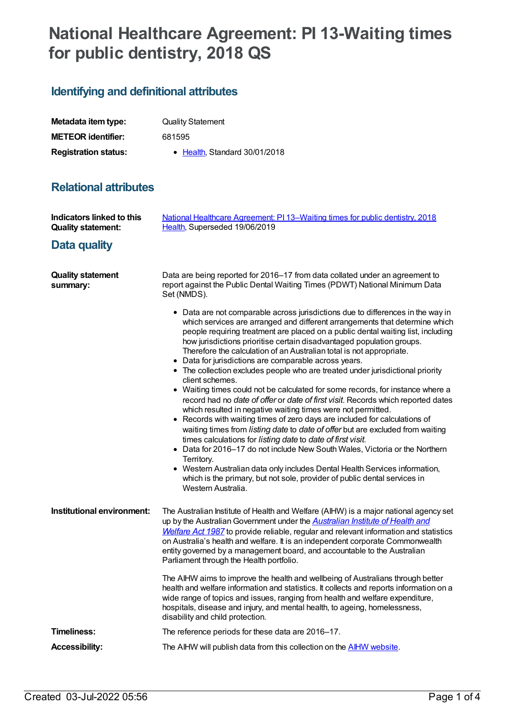## **National Healthcare Agreement: PI 13-Waiting times for public dentistry, 2018 QS**

## **Identifying and definitional attributes**

| Metadata item type:         | <b>Quality Statement</b>      |
|-----------------------------|-------------------------------|
| <b>METEOR</b> identifier:   | 681595                        |
| <b>Registration status:</b> | • Health, Standard 30/01/2018 |

## **Relational attributes**

| <b>Indicators linked to this</b><br><b>Quality statement:</b> | National Healthcare Agreement: PI 13-Waiting times for public dentistry, 2018<br>Health, Superseded 19/06/2019                                                                                                                                                                                                                                                                                                                                                                                                                                                                                                                                                                                                                                                                                                                                                                                                                                                                                                                                                                                                                                                                                                                                                                                                        |
|---------------------------------------------------------------|-----------------------------------------------------------------------------------------------------------------------------------------------------------------------------------------------------------------------------------------------------------------------------------------------------------------------------------------------------------------------------------------------------------------------------------------------------------------------------------------------------------------------------------------------------------------------------------------------------------------------------------------------------------------------------------------------------------------------------------------------------------------------------------------------------------------------------------------------------------------------------------------------------------------------------------------------------------------------------------------------------------------------------------------------------------------------------------------------------------------------------------------------------------------------------------------------------------------------------------------------------------------------------------------------------------------------|
| Data quality                                                  |                                                                                                                                                                                                                                                                                                                                                                                                                                                                                                                                                                                                                                                                                                                                                                                                                                                                                                                                                                                                                                                                                                                                                                                                                                                                                                                       |
| <b>Quality statement</b><br>summary:                          | Data are being reported for 2016-17 from data collated under an agreement to<br>report against the Public Dental Waiting Times (PDWT) National Minimum Data<br>Set (NMDS).                                                                                                                                                                                                                                                                                                                                                                                                                                                                                                                                                                                                                                                                                                                                                                                                                                                                                                                                                                                                                                                                                                                                            |
|                                                               | • Data are not comparable across jurisdictions due to differences in the way in<br>which services are arranged and different arrangements that determine which<br>people requiring treatment are placed on a public dental waiting list, including<br>how jurisdictions prioritise certain disadvantaged population groups.<br>Therefore the calculation of an Australian total is not appropriate.<br>• Data for jurisdictions are comparable across years.<br>• The collection excludes people who are treated under jurisdictional priority<br>client schemes.<br>• Waiting times could not be calculated for some records, for instance where a<br>record had no date of offer or date of first visit. Records which reported dates<br>which resulted in negative waiting times were not permitted.<br>• Records with waiting times of zero days are included for calculations of<br>waiting times from listing date to date of offer but are excluded from waiting<br>times calculations for listing date to date of first visit.<br>• Data for 2016-17 do not include New South Wales, Victoria or the Northern<br>Territory.<br>• Western Australian data only includes Dental Health Services information,<br>which is the primary, but not sole, provider of public dental services in<br>Western Australia. |
| Institutional environment:                                    | The Australian Institute of Health and Welfare (AIHW) is a major national agency set<br>up by the Australian Government under the <b>Australian Institute of Health and</b><br>Welfare Act 1987 to provide reliable, regular and relevant information and statistics<br>on Australia's health and welfare. It is an independent corporate Commonwealth<br>entity governed by a management board, and accountable to the Australian<br>Parliament through the Health portfolio.                                                                                                                                                                                                                                                                                                                                                                                                                                                                                                                                                                                                                                                                                                                                                                                                                                        |
|                                                               | The AIHW aims to improve the health and wellbeing of Australians through better<br>health and welfare information and statistics. It collects and reports information on a<br>wide range of topics and issues, ranging from health and welfare expenditure,<br>hospitals, disease and injury, and mental health, to ageing, homelessness,<br>disability and child protection.                                                                                                                                                                                                                                                                                                                                                                                                                                                                                                                                                                                                                                                                                                                                                                                                                                                                                                                                         |
| Timeliness:                                                   | The reference periods for these data are 2016-17.                                                                                                                                                                                                                                                                                                                                                                                                                                                                                                                                                                                                                                                                                                                                                                                                                                                                                                                                                                                                                                                                                                                                                                                                                                                                     |
| <b>Accessibility:</b>                                         | The AIHW will publish data from this collection on the <b>AIHW website</b> .                                                                                                                                                                                                                                                                                                                                                                                                                                                                                                                                                                                                                                                                                                                                                                                                                                                                                                                                                                                                                                                                                                                                                                                                                                          |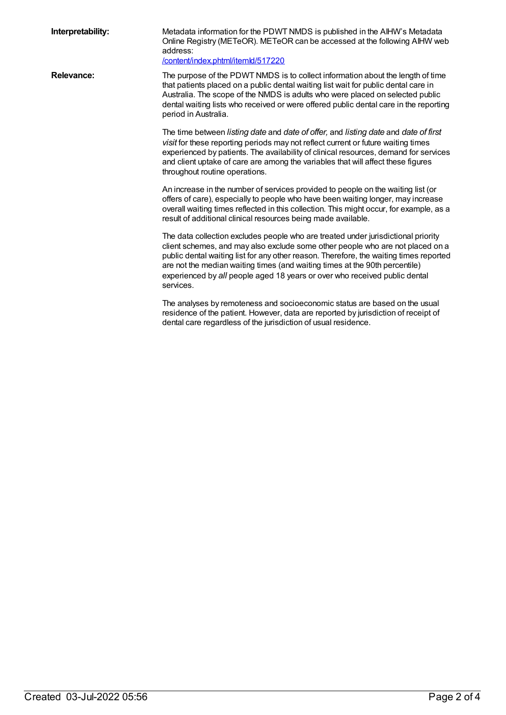| Interpretability: | Metadata information for the PDWT NMDS is published in the AIHW's Metadata<br>Online Registry (METeOR). METeOR can be accessed at the following AIHW web<br>address:<br>/content/index.phtml/itemld/517220                                                                                                                                                                                                                              |
|-------------------|-----------------------------------------------------------------------------------------------------------------------------------------------------------------------------------------------------------------------------------------------------------------------------------------------------------------------------------------------------------------------------------------------------------------------------------------|
| <b>Relevance:</b> | The purpose of the PDWT NMDS is to collect information about the length of time<br>that patients placed on a public dental waiting list wait for public dental care in<br>Australia. The scope of the NMDS is adults who were placed on selected public<br>dental waiting lists who received or were offered public dental care in the reporting<br>period in Australia.                                                                |
|                   | The time between listing date and date of offer, and listing date and date of first<br>visit for these reporting periods may not reflect current or future waiting times<br>experienced by patients. The availability of clinical resources, demand for services<br>and client uptake of care are among the variables that will affect these figures<br>throughout routine operations.                                                  |
|                   | An increase in the number of services provided to people on the waiting list (or<br>offers of care), especially to people who have been waiting longer, may increase<br>overall waiting times reflected in this collection. This might occur, for example, as a<br>result of additional clinical resources being made available.                                                                                                        |
|                   | The data collection excludes people who are treated under jurisdictional priority<br>client schemes, and may also exclude some other people who are not placed on a<br>public dental waiting list for any other reason. Therefore, the waiting times reported<br>are not the median waiting times (and waiting times at the 90th percentile)<br>experienced by all people aged 18 years or over who received public dental<br>services. |
|                   | The analyses by remoteness and socioeconomic status are based on the usual<br>residence of the patient. However, data are reported by jurisdiction of receipt of<br>dental care regardless of the jurisdiction of usual residence.                                                                                                                                                                                                      |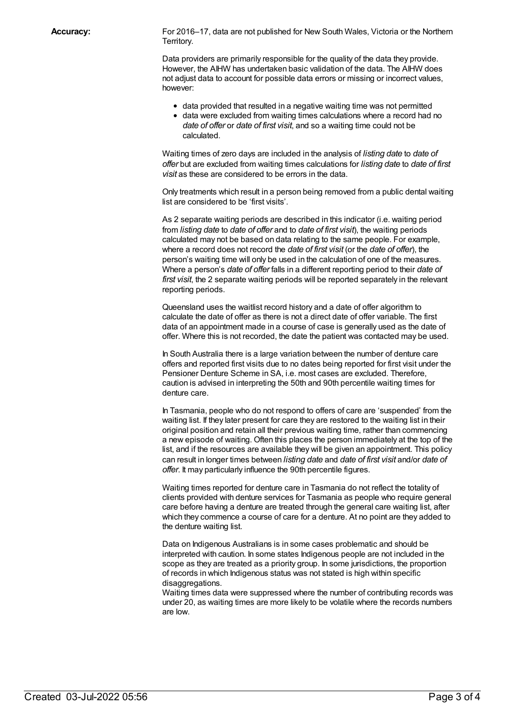Accuracy: For 2016–17, data are not published for New South Wales, Victoria or the Northern Territory.

> Data providers are primarily responsible for the quality of the data they provide. However, the AIHW has undertaken basic validation of the data. The AIHW does not adjust data to account for possible data errors or missing or incorrect values, however:

- data provided that resulted in a negative waiting time was not permitted
- data were excluded from waiting times calculations where a record had no *date of offer* or *date of first visit*, and so a waiting time could not be calculated.

Waiting times of zero days are included in the analysis of *listing date* to *date of offer* but are excluded from waiting times calculations for *listing date* to *date of first visit* as these are considered to be errors in the data.

Only treatments which result in a person being removed from a public dental waiting list are considered to be 'first visits'.

As 2 separate waiting periods are described in this indicator (i.e. waiting period from *listing date* to *date of offer* and to *date of first visit*), the waiting periods calculated may not be based on data relating to the same people. For example, where a record does not record the *date of first visit* (or the *date of offer*), the person's waiting time will only be used in the calculation of one of the measures. Where a person's *date of offer* falls in a different reporting period to their *date of first visit*, the 2 separate waiting periods will be reported separately in the relevant reporting periods.

Queensland uses the waitlist record history and a date of offer algorithm to calculate the date of offer as there is not a direct date of offer variable. The first data of an appointment made in a course of case is generally used as the date of offer. Where this is not recorded, the date the patient was contacted may be used.

In South Australia there is a large variation between the number of denture care offers and reported first visits due to no dates being reported for first visit under the Pensioner Denture Scheme in SA, i.e. most cases are excluded. Therefore, caution is advised in interpreting the 50th and 90th percentile waiting times for denture care.

In Tasmania, people who do not respond to offers of care are 'suspended' from the waiting list. If they later present for care they are restored to the waiting list in their original position and retain all their previous waiting time, rather than commencing a new episode of waiting. Often this places the person immediately at the top of the list, and if the resources are available they will be given an appointment. This policy can result in longer times between *listing date* and *date of first visit* and/or *date of offer*. It may particularly influence the 90th percentile figures.

Waiting times reported for denture care in Tasmania do not reflect the totality of clients provided with denture services for Tasmania as people who require general care before having a denture are treated through the general care waiting list, after which they commence a course of care for a denture. At no point are they added to the denture waiting list.

Data on Indigenous Australians is in some cases problematic and should be interpreted with caution. In some states Indigenous people are not included in the scope as they are treated as a priority group. In some jurisdictions, the proportion of records in which Indigenous status was not stated is high within specific disaggregations.

Waiting times data were suppressed where the number of contributing records was under 20, as waiting times are more likely to be volatile where the records numbers are low.